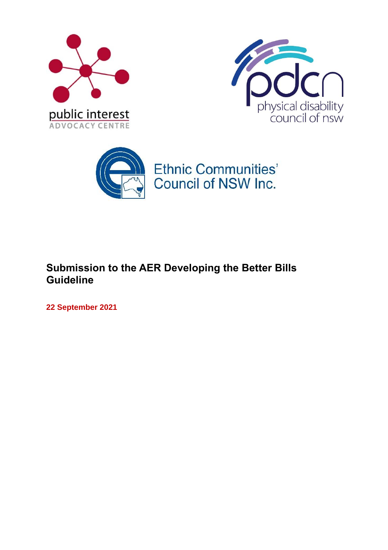





# **Submission to the AER Developing the Better Bills Guideline**

**22 September 2021**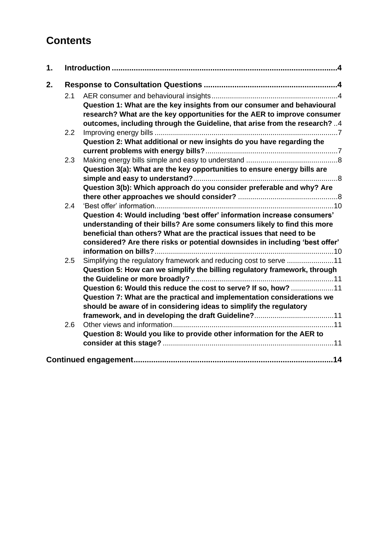# **Contents**

| 1. |     |                                                                                                                                                                                                                                                                                                                                                                     |
|----|-----|---------------------------------------------------------------------------------------------------------------------------------------------------------------------------------------------------------------------------------------------------------------------------------------------------------------------------------------------------------------------|
| 2. |     |                                                                                                                                                                                                                                                                                                                                                                     |
|    | 2.1 | Question 1: What are the key insights from our consumer and behavioural<br>research? What are the key opportunities for the AER to improve consumer                                                                                                                                                                                                                 |
|    |     | outcomes, including through the Guideline, that arise from the research? 4                                                                                                                                                                                                                                                                                          |
|    | 2.2 | Question 2: What additional or new insights do you have regarding the                                                                                                                                                                                                                                                                                               |
|    | 2.3 | Question 3(a): What are the key opportunities to ensure energy bills are                                                                                                                                                                                                                                                                                            |
|    |     | Question 3(b): Which approach do you consider preferable and why? Are                                                                                                                                                                                                                                                                                               |
|    | 2.4 | Question 4: Would including 'best offer' information increase consumers'<br>understanding of their bills? Are some consumers likely to find this more<br>beneficial than others? What are the practical issues that need to be<br>considered? Are there risks or potential downsides in including 'best offer'                                                      |
|    | 2.5 | Simplifying the regulatory framework and reducing cost to serve 11<br>Question 5: How can we simplify the billing regulatory framework, through<br>Question 6: Would this reduce the cost to serve? If so, how? 11<br>Question 7: What are the practical and implementation considerations we<br>should be aware of in considering ideas to simplify the regulatory |
|    | 2.6 | Question 8: Would you like to provide other information for the AER to                                                                                                                                                                                                                                                                                              |
|    |     |                                                                                                                                                                                                                                                                                                                                                                     |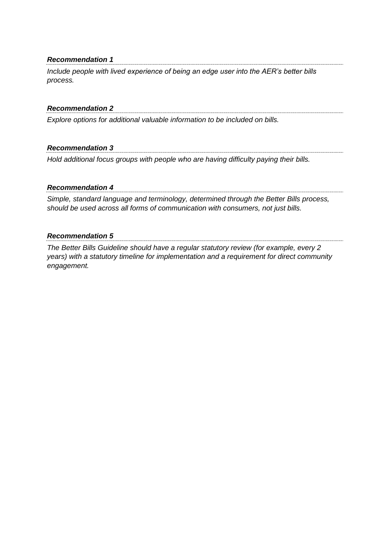#### *Recommendation 1*

*Include people with lived experience of being an edge user into the AER's better bills process.*

#### *Recommendation 2*

*Explore options for additional valuable information to be included on bills.* 

#### *Recommendation 3*

*Hold additional focus groups with people who are having difficulty paying their bills.*

#### *Recommendation 4*

*Simple, standard language and terminology, determined through the Better Bills process, should be used across all forms of communication with consumers, not just bills.*

#### *Recommendation 5*

*The Better Bills Guideline should have a regular statutory review (for example, every 2 years) with a statutory timeline for implementation and a requirement for direct community engagement.*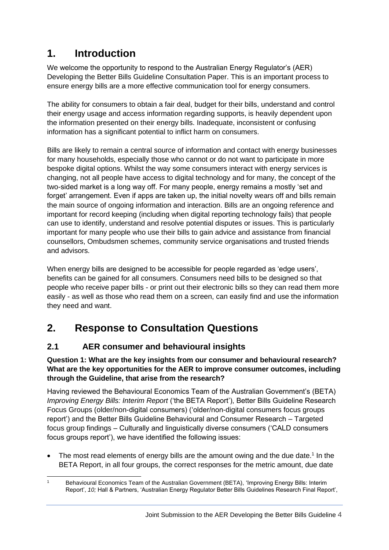# <span id="page-3-0"></span>**1. Introduction**

We welcome the opportunity to respond to the Australian Energy Regulator's (AER) Developing the Better Bills Guideline Consultation Paper. This is an important process to ensure energy bills are a more effective communication tool for energy consumers.

The ability for consumers to obtain a fair deal, budget for their bills, understand and control their energy usage and access information regarding supports, is heavily dependent upon the information presented on their energy bills. Inadequate, inconsistent or confusing information has a significant potential to inflict harm on consumers.

Bills are likely to remain a central source of information and contact with energy businesses for many households, especially those who cannot or do not want to participate in more bespoke digital options. Whilst the way some consumers interact with energy services is changing, not all people have access to digital technology and for many, the concept of the two-sided market is a long way off. For many people, energy remains a mostly 'set and forget' arrangement. Even if apps are taken up, the initial novelty wears off and bills remain the main source of ongoing information and interaction. Bills are an ongoing reference and important for record keeping (including when digital reporting technology fails) that people can use to identify, understand and resolve potential disputes or issues. This is particularly important for many people who use their bills to gain advice and assistance from financial counsellors, Ombudsmen schemes, community service organisations and trusted friends and advisors.

When energy bills are designed to be accessible for people regarded as 'edge users', benefits can be gained for all consumers. Consumers need bills to be designed so that people who receive paper bills - or print out their electronic bills so they can read them more easily - as well as those who read them on a screen, can easily find and use the information they need and want.

# <span id="page-3-1"></span>**2. Response to Consultation Questions**

# <span id="page-3-2"></span>**2.1 AER consumer and behavioural insights**

## <span id="page-3-3"></span>**Question 1: What are the key insights from our consumer and behavioural research? What are the key opportunities for the AER to improve consumer outcomes, including through the Guideline, that arise from the research?**

Having reviewed the Behavioural Economics Team of the Australian Government's (BETA) *Improving Energy Bills: Interim Report* ('the BETA Report'), Better Bills Guideline Research Focus Groups (older/non-digital consumers) ('older/non-digital consumers focus groups report') and the Better Bills Guideline Behavioural and Consumer Research – Targeted focus group findings – Culturally and linguistically diverse consumers ('CALD consumers focus groups report'), we have identified the following issues:

• The most read elements of energy bills are the amount owing and the due date.<sup>1</sup> In the BETA Report, in all four groups, the correct responses for the metric amount, due date

<sup>1</sup> Behavioural Economics Team of the Australian Government (BETA), 'Improving Energy Bills: Interim Report', *10;* Hall & Partners, 'Australian Energy Regulator Better Bills Guidelines Research Final Report',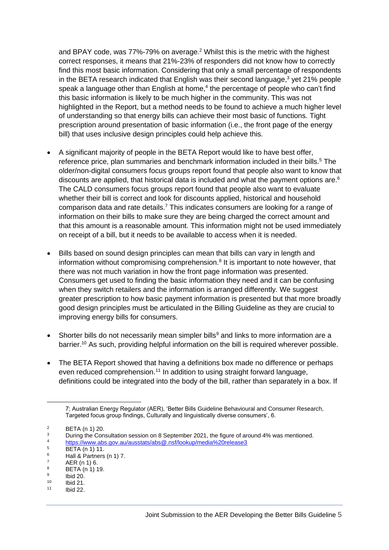and BPAY code, was 77%-79% on average.<sup>2</sup> Whilst this is the metric with the highest correct responses, it means that 21%-23% of responders did not know how to correctly find this most basic information. Considering that only a small percentage of respondents in the BETA research indicated that English was their second language, $3$  yet 21% people speak a language other than English at home,<sup>4</sup> the percentage of people who can't find this basic information is likely to be much higher in the community. This was not highlighted in the Report, but a method needs to be found to achieve a much higher level of understanding so that energy bills can achieve their most basic of functions. Tight prescription around presentation of basic information (i.e., the front page of the energy bill) that uses inclusive design principles could help achieve this.

- A significant majority of people in the BETA Report would like to have best offer, reference price, plan summaries and benchmark information included in their bills.<sup>5</sup> The older/non-digital consumers focus groups report found that people also want to know that discounts are applied, that historical data is included and what the payment options are.<sup>6</sup> The CALD consumers focus groups report found that people also want to evaluate whether their bill is correct and look for discounts applied, historical and household comparison data and rate details.<sup>7</sup> This indicates consumers are looking for a range of information on their bills to make sure they are being charged the correct amount and that this amount is a reasonable amount. This information might not be used immediately on receipt of a bill, but it needs to be available to access when it is needed.
- Bills based on sound design principles can mean that bills can vary in length and information without compromising comprehension.<sup>8</sup> It is important to note however, that there was not much variation in how the front page information was presented. Consumers get used to finding the basic information they need and it can be confusing when they switch retailers and the information is arranged differently. We suggest greater prescription to how basic payment information is presented but that more broadly good design principles must be articulated in the Billing Guideline as they are crucial to improving energy bills for consumers.
- Shorter bills do not necessarily mean simpler bills<sup>9</sup> and links to more information are a barrier.<sup>10</sup> As such, providing helpful information on the bill is required wherever possible.
- The BETA Report showed that having a definitions box made no difference or perhaps even reduced comprehension.<sup>11</sup> In addition to using straight forward language, definitions could be integrated into the body of the bill, rather than separately in a box. If

<sup>7;</sup> Australian Energy Regulator (AER), 'Better Bills Guideline Behavioural and Consumer Research, Targeted focus group findings, Culturally and linguistically diverse consumers', 6.

 $\frac{2}{3}$  BETA (n 1) 20.

<sup>&</sup>lt;sup>3</sup> During the Consultation session on 8 September 2021, the figure of around 4% was mentioned.

<sup>&</sup>lt;sup>4</sup> <https://www.abs.gov.au/ausstats/abs@.nsf/lookup/media%20release3>

 $5$  BETA (n 1) 11.

 $^{6}$  Hall & Partners (n 1) 7.

 $7$  AER (n 1) 6.<br>8 PETA (n 1) 1

BETA (n 1) 19.

<sup>9</sup> Ibid 20.

 $10$  Ibid 21.

Ibid 22.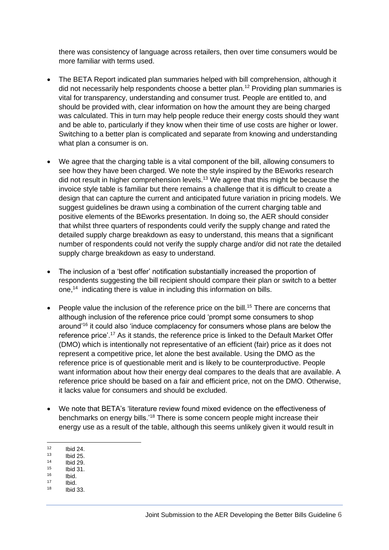there was consistency of language across retailers, then over time consumers would be more familiar with terms used.

- The BETA Report indicated plan summaries helped with bill comprehension, although it did not necessarily help respondents choose a better plan.<sup>12</sup> Providing plan summaries is vital for transparency, understanding and consumer trust. People are entitled to, and should be provided with, clear information on how the amount they are being charged was calculated. This in turn may help people reduce their energy costs should they want and be able to, particularly if they know when their time of use costs are higher or lower. Switching to a better plan is complicated and separate from knowing and understanding what plan a consumer is on.
- We agree that the charging table is a vital component of the bill, allowing consumers to see how they have been charged. We note the style inspired by the BEworks research did not result in higher comprehension levels.<sup>13</sup> We agree that this might be because the invoice style table is familiar but there remains a challenge that it is difficult to create a design that can capture the current and anticipated future variation in pricing models. We suggest guidelines be drawn using a combination of the current charging table and positive elements of the BEworks presentation. In doing so, the AER should consider that whilst three quarters of respondents could verify the supply change and rated the detailed supply charge breakdown as easy to understand, this means that a significant number of respondents could not verify the supply charge and/or did not rate the detailed supply charge breakdown as easy to understand.
- The inclusion of a 'best offer' notification substantially increased the proportion of respondents suggesting the bill recipient should compare their plan or switch to a better one,<sup>14</sup> indicating there is value in including this information on bills.
- People value the inclusion of the reference price on the bill.<sup>15</sup> There are concerns that although inclusion of the reference price could 'prompt some consumers to shop around'<sup>16</sup> it could also 'induce complacency for consumers whose plans are below the reference price'.<sup>17</sup> As it stands, the reference price is linked to the Default Market Offer (DMO) which is intentionally not representative of an efficient (fair) price as it does not represent a competitive price, let alone the best available. Using the DMO as the reference price is of questionable merit and is likely to be counterproductive. People want information about how their energy deal compares to the deals that are available. A reference price should be based on a fair and efficient price, not on the DMO. Otherwise, it lacks value for consumers and should be excluded.
- We note that BETA's 'literature review found mixed evidence on the effectiveness of benchmarks on energy bills.'<sup>18</sup> There is some concern people might increase their energy use as a result of the table, although this seems unlikely given it would result in
- $12$  Ibid 24.<br> $13$  Ibid 25.
- $13$  Ibid 25.<br> $14$  Ibid 20.
- $14$  Ibid 29.
- $15$  Ibid 31.
- $16$  Ibid.  $17$  Ibid.<br> $18$  Ibid.
- **Ibid 33.**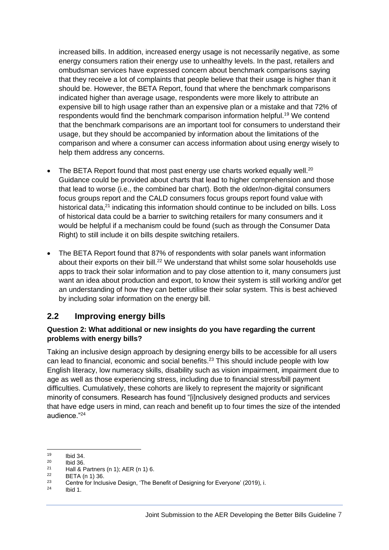increased bills. In addition, increased energy usage is not necessarily negative, as some energy consumers ration their energy use to unhealthy levels. In the past, retailers and ombudsman services have expressed concern about benchmark comparisons saying that they receive a lot of complaints that people believe that their usage is higher than it should be. However, the BETA Report, found that where the benchmark comparisons indicated higher than average usage, respondents were more likely to attribute an expensive bill to high usage rather than an expensive plan or a mistake and that 72% of respondents would find the benchmark comparison information helpful.<sup>19</sup> We contend that the benchmark comparisons are an important tool for consumers to understand their usage, but they should be accompanied by information about the limitations of the comparison and where a consumer can access information about using energy wisely to help them address any concerns.

- The BETA Report found that most past energy use charts worked equally well. $^{20}$ Guidance could be provided about charts that lead to higher comprehension and those that lead to worse (i.e., the combined bar chart). Both the older/non-digital consumers focus groups report and the CALD consumers focus groups report found value with historical data,<sup>21</sup> indicating this information should continue to be included on bills. Loss of historical data could be a barrier to switching retailers for many consumers and it would be helpful if a mechanism could be found (such as through the Consumer Data Right) to still include it on bills despite switching retailers.
- The BETA Report found that 87% of respondents with solar panels want information about their exports on their bill.<sup>22</sup> We understand that whilst some solar households use apps to track their solar information and to pay close attention to it, many consumers just want an idea about production and export, to know their system is still working and/or get an understanding of how they can better utilise their solar system. This is best achieved by including solar information on the energy bill.

# <span id="page-6-0"></span>**2.2 Improving energy bills**

### <span id="page-6-1"></span>**Question 2: What additional or new insights do you have regarding the current problems with energy bills?**

Taking an inclusive design approach by designing energy bills to be accessible for all users can lead to financial, economic and social benefits.<sup>23</sup> This should include people with low English literacy, low numeracy skills, disability such as vision impairment, impairment due to age as well as those experiencing stress, including due to financial stress/bill payment difficulties. Cumulatively, these cohorts are likely to represent the majority or significant minority of consumers. Research has found "[i]nclusively designed products and services that have edge users in mind, can reach and benefit up to four times the size of the intended audience."<sup>24</sup>

 $19$  Ibid 34.<br> $20$  Ibid 36

 $^{20}$  Ibid 36.

<sup>&</sup>lt;sup>21</sup> Hall & Partners (n 1); AER (n 1) 6.<br><sup>22</sup> PETA (n 1) 36

 $^{22}$  BETA (n 1) 36. <sup>23</sup> Centre for Inclusive Design, 'The Benefit of Designing for Everyone' (2019), i.<br><sup>24</sup> Ibid 1

Ibid 1.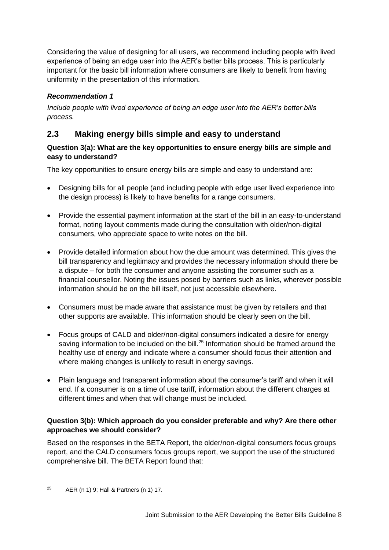Considering the value of designing for all users, we recommend including people with lived experience of being an edge user into the AER's better bills process. This is particularly important for the basic bill information where consumers are likely to benefit from having uniformity in the presentation of this information.

# *Recommendation 1*

*Include people with lived experience of being an edge user into the AER's better bills process.*

# <span id="page-7-0"></span>**2.3 Making energy bills simple and easy to understand**

## <span id="page-7-1"></span>**Question 3(a): What are the key opportunities to ensure energy bills are simple and easy to understand?**

The key opportunities to ensure energy bills are simple and easy to understand are:

- Designing bills for all people (and including people with edge user lived experience into the design process) is likely to have benefits for a range consumers.
- Provide the essential payment information at the start of the bill in an easy-to-understand format, noting layout comments made during the consultation with older/non-digital consumers, who appreciate space to write notes on the bill.
- Provide detailed information about how the due amount was determined. This gives the bill transparency and legitimacy and provides the necessary information should there be a dispute – for both the consumer and anyone assisting the consumer such as a financial counsellor. Noting the issues posed by barriers such as links, wherever possible information should be on the bill itself, not just accessible elsewhere.
- Consumers must be made aware that assistance must be given by retailers and that other supports are available. This information should be clearly seen on the bill.
- Focus groups of CALD and older/non-digital consumers indicated a desire for energy saving information to be included on the bill.<sup>25</sup> Information should be framed around the healthy use of energy and indicate where a consumer should focus their attention and where making changes is unlikely to result in energy savings.
- Plain language and transparent information about the consumer's tariff and when it will end. If a consumer is on a time of use tariff, information about the different charges at different times and when that will change must be included.

# <span id="page-7-2"></span>**Question 3(b): Which approach do you consider preferable and why? Are there other approaches we should consider?**

Based on the responses in the BETA Report, the older/non-digital consumers focus groups report, and the CALD consumers focus groups report, we support the use of the structured comprehensive bill. The BETA Report found that:

 $25$  AER (n 1) 9; Hall & Partners (n 1) 17.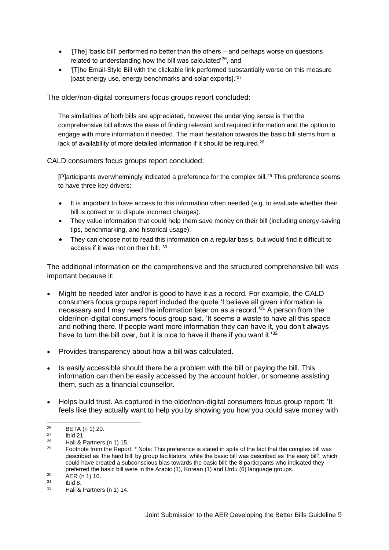- '[The] 'basic bill' performed no better than the others and perhaps worse on questions related to understanding how the bill was calculated<sup>'26</sup>, and
- TThe Email-Style Bill with the clickable link performed substantially worse on this measure [past energy use, energy benchmarks and solar exports].'<sup>27</sup>

The older/non-digital consumers focus groups report concluded:

The similarities of both bills are appreciated, however the underlying sense is that the comprehensive bill allows the ease of finding relevant and required information and the option to engage with more information if needed. The main hesitation towards the basic bill stems from a lack of availability of more detailed information if it should be required.<sup>28</sup>

#### CALD consumers focus groups report concluded:

[P]articipants overwhelmingly indicated a preference for the complex bill.<sup>29</sup> This preference seems to have three key drivers:

- It is important to have access to this information when needed (e.g. to evaluate whether their bill is correct or to dispute incorrect charges).
- They value information that could help them save money on their bill (including energy-saving tips, benchmarking, and historical usage).
- They can choose not to read this information on a regular basis, but would find it difficult to access if it was not on their bill. 30

The additional information on the comprehensive and the structured comprehensive bill was important because it:

- Might be needed later and/or is good to have it as a record. For example, the CALD consumers focus groups report included the quote 'I believe all given information is necessary and I may need the information later on as a record.<sup>31</sup> A person from the older/non-digital consumers focus group said, 'It seems a waste to have all this space and nothing there. If people want more information they can have it, you don't always have to turn the bill over, but it is nice to have it there if you want it.<sup>'32</sup>
- Provides transparency about how a bill was calculated.
- Is easily accessible should there be a problem with the bill or paying the bill. This information can then be easily accessed by the account holder, or someone assisting them, such as a financial counsellor.
- Helps build trust. As captured in the older/non-digital consumers focus group report: 'It feels like they actually want to help you by showing you how you could save money with

 $^{26}$  BETA (n 1) 20.

 $^{27}$  Ibid 21.

<sup>&</sup>lt;sup>28</sup> Hall & Partners  $(n 1)$  15.<br><sup>29</sup> Eastnata from the Baneri

Footnote from the Report: \* Note: This preference is stated in spite of the fact that the complex bill was described as 'the hard bill' by group facilitators, while the basic bill was described as 'the easy bill', which could have created a subconscious bias towards the basic bill; the 8 participants who indicated they preferred the basic bill were in the Arabic (1), Korean (1) and Urdu (6) language groups.

 $30$  AER (n 1) 10.

 $\frac{31}{32}$  Ibid 8.

Hall & Partners (n 1) 14.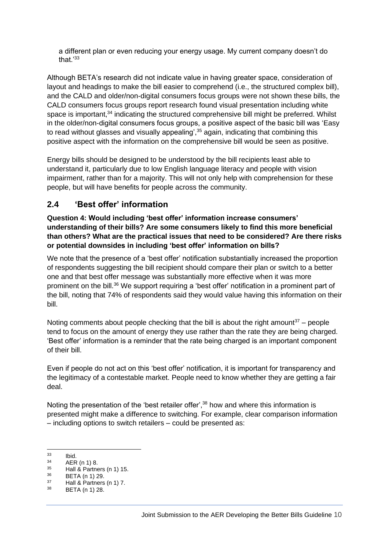a different plan or even reducing your energy usage. My current company doesn't do that.'<sup>33</sup>

Although BETA's research did not indicate value in having greater space, consideration of layout and headings to make the bill easier to comprehend (i.e., the structured complex bill), and the CALD and older/non-digital consumers focus groups were not shown these bills, the CALD consumers focus groups report research found visual presentation including white space is important, $34$  indicating the structured comprehensive bill might be preferred. Whilst in the older/non-digital consumers focus groups, a positive aspect of the basic bill was 'Easy to read without glasses and visually appealing',<sup>35</sup> again, indicating that combining this positive aspect with the information on the comprehensive bill would be seen as positive.

Energy bills should be designed to be understood by the bill recipients least able to understand it, particularly due to low English language literacy and people with vision impairment, rather than for a majority. This will not only help with comprehension for these people, but will have benefits for people across the community.

# <span id="page-9-0"></span>**2.4 'Best offer' information**

<span id="page-9-1"></span>**Question 4: Would including 'best offer' information increase consumers' understanding of their bills? Are some consumers likely to find this more beneficial than others? What are the practical issues that need to be considered? Are there risks or potential downsides in including 'best offer' information on bills?**

We note that the presence of a 'best offer' notification substantially increased the proportion of respondents suggesting the bill recipient should compare their plan or switch to a better one and that best offer message was substantially more effective when it was more prominent on the bill.<sup>36</sup> We support requiring a 'best offer' notification in a prominent part of the bill, noting that 74% of respondents said they would value having this information on their bill.

Noting comments about people checking that the bill is about the right amount<sup>37</sup> – people tend to focus on the amount of energy they use rather than the rate they are being charged. 'Best offer' information is a reminder that the rate being charged is an important component of their bill.

Even if people do not act on this 'best offer' notification, it is important for transparency and the legitimacy of a contestable market. People need to know whether they are getting a fair deal.

Noting the presentation of the 'best retailer offer',<sup>38</sup> how and where this information is presented might make a difference to switching. For example, clear comparison information – including options to switch retailers – could be presented as:

 $\begin{array}{ccc} 33 & & \text{lbid.} \\ 34 & & \text{AED} \end{array}$ 

 $34$  AER (n 1) 8.<br> $35$  Holl 8 Dorths

 $^{35}$  Hall & Partners (n 1) 15.<br> $^{36}$  PETA (n 1) 20

 $36$  BETA (n 1) 29.

 $^{37}$  Hall & Partners (n 1) 7.<br> $^{38}$  PETA (n 1) 28 BETA (n 1) 28.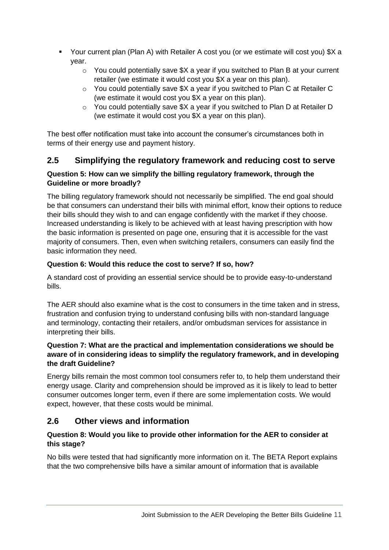- Your current plan (Plan A) with Retailer A cost you (or we estimate will cost you) \$X a year.
	- $\circ$  You could potentially save  $X$  a year if you switched to Plan B at your current retailer (we estimate it would cost you \$X a year on this plan).
	- o You could potentially save \$X a year if you switched to Plan C at Retailer C (we estimate it would cost you \$X a year on this plan).
	- $\circ$  You could potentially save \$X a year if you switched to Plan D at Retailer D (we estimate it would cost you \$X a year on this plan).

The best offer notification must take into account the consumer's circumstances both in terms of their energy use and payment history.

# <span id="page-10-0"></span>**2.5 Simplifying the regulatory framework and reducing cost to serve**

## <span id="page-10-1"></span>**Question 5: How can we simplify the billing regulatory framework, through the Guideline or more broadly?**

The billing regulatory framework should not necessarily be simplified. The end goal should be that consumers can understand their bills with minimal effort, know their options to reduce their bills should they wish to and can engage confidently with the market if they choose. Increased understanding is likely to be achieved with at least having prescription with how the basic information is presented on page one, ensuring that it is accessible for the vast majority of consumers. Then, even when switching retailers, consumers can easily find the basic information they need.

# <span id="page-10-2"></span>**Question 6: Would this reduce the cost to serve? If so, how?**

A standard cost of providing an essential service should be to provide easy-to-understand bills.

The AER should also examine what is the cost to consumers in the time taken and in stress, frustration and confusion trying to understand confusing bills with non-standard language and terminology, contacting their retailers, and/or ombudsman services for assistance in interpreting their bills.

### <span id="page-10-3"></span>**Question 7: What are the practical and implementation considerations we should be aware of in considering ideas to simplify the regulatory framework, and in developing the draft Guideline?**

Energy bills remain the most common tool consumers refer to, to help them understand their energy usage. Clarity and comprehension should be improved as it is likely to lead to better consumer outcomes longer term, even if there are some implementation costs. We would expect, however, that these costs would be minimal.

# <span id="page-10-4"></span>**2.6 Other views and information**

## <span id="page-10-5"></span>**Question 8: Would you like to provide other information for the AER to consider at this stage?**

No bills were tested that had significantly more information on it. The BETA Report explains that the two comprehensive bills have a similar amount of information that is available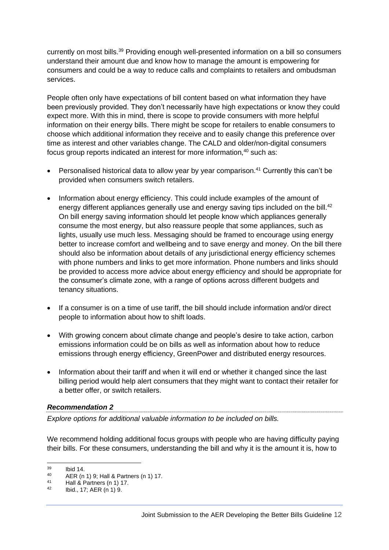currently on most bills.<sup>39</sup> Providing enough well-presented information on a bill so consumers understand their amount due and know how to manage the amount is empowering for consumers and could be a way to reduce calls and complaints to retailers and ombudsman services.

People often only have expectations of bill content based on what information they have been previously provided. They don't necessarily have high expectations or know they could expect more. With this in mind, there is scope to provide consumers with more helpful information on their energy bills. There might be scope for retailers to enable consumers to choose which additional information they receive and to easily change this preference over time as interest and other variables change. The CALD and older/non-digital consumers focus group reports indicated an interest for more information.<sup>40</sup> such as:

- Personalised historical data to allow year by year comparison.<sup>41</sup> Currently this can't be provided when consumers switch retailers.
- Information about energy efficiency. This could include examples of the amount of energy different appliances generally use and energy saving tips included on the bill.<sup>42</sup> On bill energy saving information should let people know which appliances generally consume the most energy, but also reassure people that some appliances, such as lights, usually use much less. Messaging should be framed to encourage using energy better to increase comfort and wellbeing and to save energy and money. On the bill there should also be information about details of any jurisdictional energy efficiency schemes with phone numbers and links to get more information. Phone numbers and links should be provided to access more advice about energy efficiency and should be appropriate for the consumer's climate zone, with a range of options across different budgets and tenancy situations.
- If a consumer is on a time of use tariff, the bill should include information and/or direct people to information about how to shift loads.
- With growing concern about climate change and people's desire to take action, carbon emissions information could be on bills as well as information about how to reduce emissions through energy efficiency, GreenPower and distributed energy resources.
- Information about their tariff and when it will end or whether it changed since the last billing period would help alert consumers that they might want to contact their retailer for a better offer, or switch retailers.

#### *Recommendation 2*

*Explore options for additional valuable information to be included on bills.* 

We recommend holding additional focus groups with people who are having difficulty paying their bills. For these consumers, understanding the bill and why it is the amount it is, how to

 $\begin{array}{cc}\n 39 \\
40\n \end{array}$  Ibid 14.

<sup>40</sup> AER (n 1) 9; Hall & Partners (n 1) 17.

<sup>41</sup> Hall & Partners (n 1) 17.<br>42 Ibid. 17:  $\triangle E$  P (n 1) 0

Ibid., 17; AER (n 1) 9.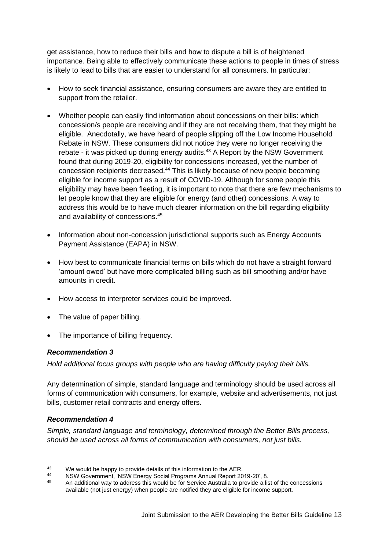get assistance, how to reduce their bills and how to dispute a bill is of heightened importance. Being able to effectively communicate these actions to people in times of stress is likely to lead to bills that are easier to understand for all consumers. In particular:

- How to seek financial assistance, ensuring consumers are aware they are entitled to support from the retailer.
- Whether people can easily find information about concessions on their bills: which concession/s people are receiving and if they are not receiving them, that they might be eligible. Anecdotally, we have heard of people slipping off the Low Income Household Rebate in NSW. These consumers did not notice they were no longer receiving the rebate - it was picked up during energy audits. $43$  A Report by the NSW Government found that during 2019-20, eligibility for concessions increased, yet the number of concession recipients decreased.<sup>44</sup> This is likely because of new people becoming eligible for income support as a result of COVID-19. Although for some people this eligibility may have been fleeting, it is important to note that there are few mechanisms to let people know that they are eligible for energy (and other) concessions. A way to address this would be to have much clearer information on the bill regarding eligibility and availability of concessions.<sup>45</sup>
- Information about non-concession jurisdictional supports such as Energy Accounts Payment Assistance (EAPA) in NSW.
- How best to communicate financial terms on bills which do not have a straight forward 'amount owed' but have more complicated billing such as bill smoothing and/or have amounts in credit.
- How access to interpreter services could be improved.
- The value of paper billing.
- The importance of billing frequency.

#### *Recommendation 3*

*Hold additional focus groups with people who are having difficulty paying their bills.*

Any determination of simple, standard language and terminology should be used across all forms of communication with consumers, for example, website and advertisements, not just bills, customer retail contracts and energy offers.

#### *Recommendation 4*

*Simple, standard language and terminology, determined through the Better Bills process, should be used across all forms of communication with consumers, not just bills.*

<sup>&</sup>lt;sup>43</sup> We would be happy to provide details of this information to the AER.<br><sup>44</sup> NSW Government, 'NSW Epergy Social Programs Appual Bonert 20

<sup>44</sup> NSW Government, 'NSW Energy Social Programs Annual Report 2019-20', 8.<br>45 An additional way to address this would be far Santiac Australia to provide a list

<sup>45</sup> An additional way to address this would be for Service Australia to provide a list of the concessions available (not just energy) when people are notified they are eligible for income support.